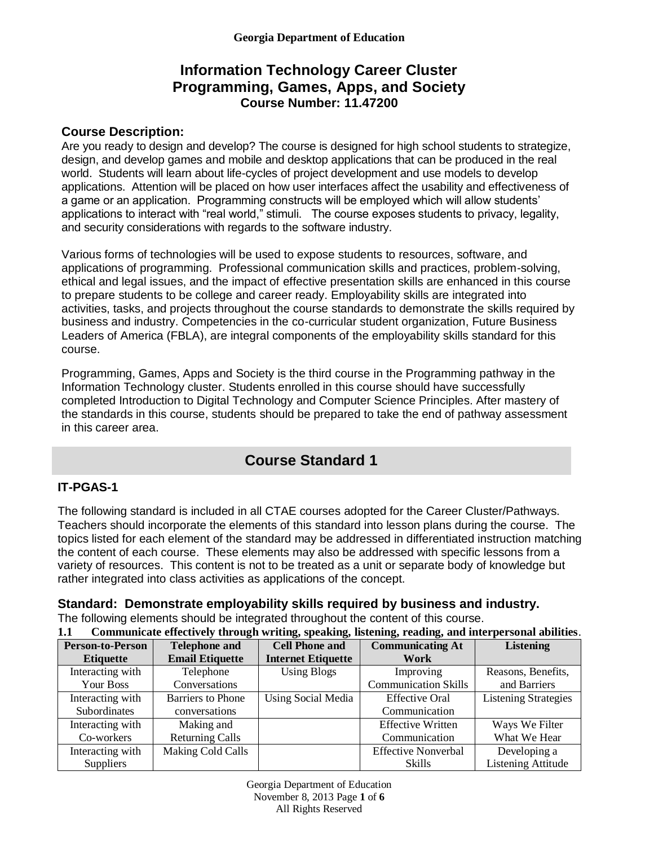## **Information Technology Career Cluster Programming, Games, Apps, and Society Course Number: 11.47200**

### **Course Description:**

Are you ready to design and develop? The course is designed for high school students to strategize, design, and develop games and mobile and desktop applications that can be produced in the real world. Students will learn about life-cycles of project development and use models to develop applications. Attention will be placed on how user interfaces affect the usability and effectiveness of a game or an application. Programming constructs will be employed which will allow students' applications to interact with "real world," stimuli. The course exposes students to privacy, legality, and security considerations with regards to the software industry.

Various forms of technologies will be used to expose students to resources, software, and applications of programming. Professional communication skills and practices, problem-solving, ethical and legal issues, and the impact of effective presentation skills are enhanced in this course to prepare students to be college and career ready. Employability skills are integrated into activities, tasks, and projects throughout the course standards to demonstrate the skills required by business and industry. Competencies in the co-curricular student organization, Future Business Leaders of America (FBLA), are integral components of the employability skills standard for this course.

Programming, Games, Apps and Society is the third course in the Programming pathway in the Information Technology cluster. Students enrolled in this course should have successfully completed Introduction to Digital Technology and Computer Science Principles. After mastery of the standards in this course, students should be prepared to take the end of pathway assessment in this career area.

# **Course Standard 1**

### **IT-PGAS-1**

The following standard is included in all CTAE courses adopted for the Career Cluster/Pathways. Teachers should incorporate the elements of this standard into lesson plans during the course. The topics listed for each element of the standard may be addressed in differentiated instruction matching the content of each course. These elements may also be addressed with specific lessons from a variety of resources. This content is not to be treated as a unit or separate body of knowledge but rather integrated into class activities as applications of the concept.

## **Standard: Demonstrate employability skills required by business and industry.**

The following elements should be integrated throughout the content of this course.

| Communicate effectively through writing, speaking, listening, reading, and interpersonal abilities.<br>1.1 |                                               |                           |                             |                             |  |
|------------------------------------------------------------------------------------------------------------|-----------------------------------------------|---------------------------|-----------------------------|-----------------------------|--|
| <b>Person-to-Person</b>                                                                                    | <b>Cell Phone and</b><br><b>Telephone and</b> |                           | <b>Communicating At</b>     | <b>Listening</b>            |  |
| <b>Etiquette</b>                                                                                           | <b>Email Etiquette</b>                        | <b>Internet Etiquette</b> | Work                        |                             |  |
| Interacting with                                                                                           | Telephone                                     | <b>Using Blogs</b>        | Improving                   | Reasons, Benefits,          |  |
| Your Boss                                                                                                  | Conversations                                 |                           | <b>Communication Skills</b> | and Barriers                |  |
| Interacting with                                                                                           | Barriers to Phone                             | <b>Using Social Media</b> | <b>Effective Oral</b>       | <b>Listening Strategies</b> |  |
| Subordinates                                                                                               | conversations                                 |                           | Communication               |                             |  |
| Interacting with                                                                                           | Making and                                    |                           | <b>Effective Written</b>    | Ways We Filter              |  |
| Co-workers                                                                                                 | <b>Returning Calls</b>                        |                           | Communication               | What We Hear                |  |
| Interacting with                                                                                           | Making Cold Calls                             |                           | <b>Effective Nonverbal</b>  | Developing a                |  |
| <b>Suppliers</b>                                                                                           |                                               |                           | Skills                      | <b>Listening Attitude</b>   |  |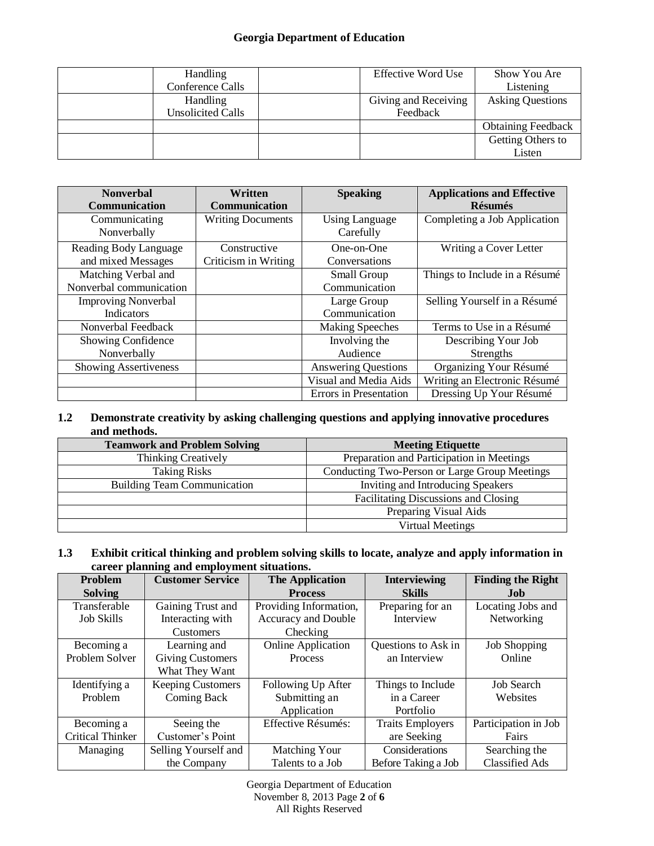### **Georgia Department of Education**

| <b>Handling</b>   | Effective Word Use   | Show You Are              |
|-------------------|----------------------|---------------------------|
| Conference Calls  |                      | Listening                 |
| <b>Handling</b>   | Giving and Receiving | <b>Asking Questions</b>   |
| Unsolicited Calls | Feedback             |                           |
|                   |                      | <b>Obtaining Feedback</b> |
|                   |                      | Getting Others to         |
|                   |                      | Listen                    |

| <b>Nonverbal</b><br>Communication              | Written<br><b>Communication</b>      | <b>Speaking</b>                    | <b>Applications and Effective</b><br><b>Résumés</b> |
|------------------------------------------------|--------------------------------------|------------------------------------|-----------------------------------------------------|
| Communicating<br>Nonverbally                   | <b>Writing Documents</b>             | <b>Using Language</b><br>Carefully | Completing a Job Application                        |
| Reading Body Language<br>and mixed Messages    | Constructive<br>Criticism in Writing | One-on-One<br>Conversations        | Writing a Cover Letter                              |
| Matching Verbal and<br>Nonverbal communication |                                      | Small Group<br>Communication       | Things to Include in a Résumé                       |
| <b>Improving Nonverbal</b><br>Indicators       |                                      | Large Group<br>Communication       | Selling Yourself in a Résumé                        |
| Nonverbal Feedback                             |                                      | <b>Making Speeches</b>             | Terms to Use in a Résumé                            |
| Showing Confidence<br>Nonverbally              |                                      | Involving the<br>Audience          | Describing Your Job<br>Strengths                    |
| <b>Showing Assertiveness</b>                   |                                      | <b>Answering Questions</b>         | Organizing Your Résumé                              |
|                                                |                                      | Visual and Media Aids              | Writing an Electronic Résumé                        |
|                                                |                                      | <b>Errors</b> in Presentation      | Dressing Up Your Résumé                             |

#### **1.2 Demonstrate creativity by asking challenging questions and applying innovative procedures and methods.**

| <b>Teamwork and Problem Solving</b> | <b>Meeting Etiquette</b>                      |  |
|-------------------------------------|-----------------------------------------------|--|
| <b>Thinking Creatively</b>          | Preparation and Participation in Meetings     |  |
| <b>Taking Risks</b>                 | Conducting Two-Person or Large Group Meetings |  |
| <b>Building Team Communication</b>  | Inviting and Introducing Speakers             |  |
|                                     | Facilitating Discussions and Closing          |  |
|                                     | Preparing Visual Aids                         |  |
|                                     | Virtual Meetings                              |  |

#### **1.3 Exhibit critical thinking and problem solving skills to locate, analyze and apply information in career planning and employment situations.**

| Problem                 | <b>Customer Service</b>  | <b>The Application</b>     | <b>Interviewing</b>     | <b>Finding the Right</b> |
|-------------------------|--------------------------|----------------------------|-------------------------|--------------------------|
| <b>Solving</b>          |                          | <b>Process</b>             | <b>Skills</b>           | <b>Job</b>               |
| Transferable            | Gaining Trust and        | Providing Information,     | Preparing for an        | Locating Jobs and        |
| <b>Job Skills</b>       | Interacting with         | <b>Accuracy and Double</b> | Interview               | Networking               |
|                         | <b>Customers</b>         | Checking                   |                         |                          |
| Becoming a              | Learning and             | <b>Online Application</b>  | Questions to Ask in     | <b>Job Shopping</b>      |
| Problem Solver          | <b>Giving Customers</b>  | Process                    | an Interview            | Online                   |
|                         | What They Want           |                            |                         |                          |
| Identifying a           | <b>Keeping Customers</b> | Following Up After         | Things to Include       | <b>Job Search</b>        |
| Problem                 | Coming Back              | Submitting an              | in a Career             | Websites                 |
|                         |                          | Application                | Portfolio               |                          |
| Becoming a              | Seeing the               | Effective Résumés:         | <b>Traits Employers</b> | Participation in Job     |
| <b>Critical Thinker</b> | Customer's Point         |                            | are Seeking             | Fairs                    |
| Managing                | Selling Yourself and     | Matching Your              | Considerations          | Searching the            |
|                         | the Company              | Talents to a Job           | Before Taking a Job     | <b>Classified Ads</b>    |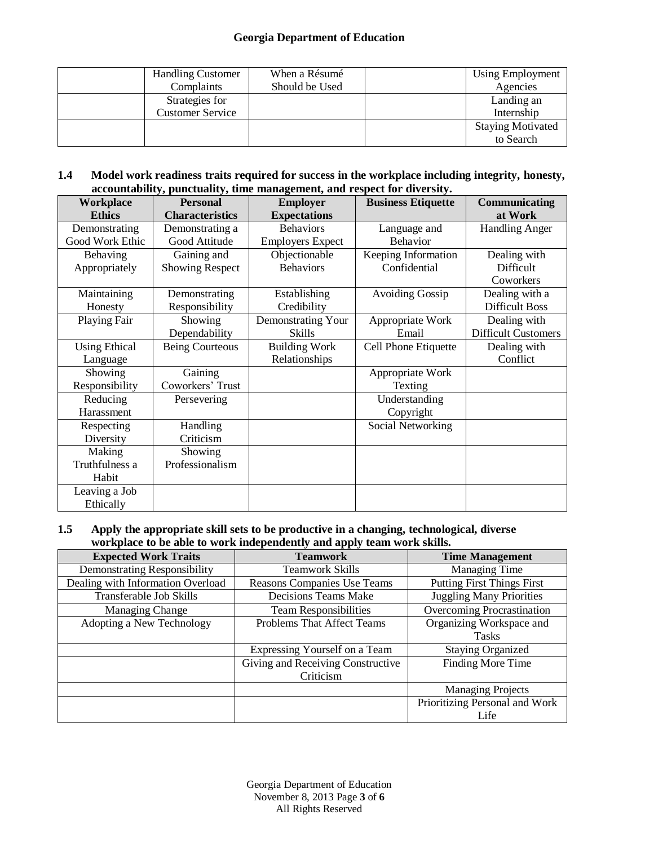#### **Georgia Department of Education**

| <b>Handling Customer</b> | When a Résumé  | Using Employment         |
|--------------------------|----------------|--------------------------|
| Complaints               | Should be Used | Agencies                 |
| Strategies for           |                | Landing an               |
| <b>Customer Service</b>  |                | Internship               |
|                          |                | <b>Staying Motivated</b> |
|                          |                | to Search                |

#### **1.4 Model work readiness traits required for success in the workplace including integrity, honesty, accountability, punctuality, time management, and respect for diversity.**

| Workplace                         | <b>Personal</b>                       | vy, paneraancy, anne management, and respect for arteristy.<br><b>Employer</b> | <b>Business Etiquette</b>           | Communicating                              |
|-----------------------------------|---------------------------------------|--------------------------------------------------------------------------------|-------------------------------------|--------------------------------------------|
| <b>Ethics</b>                     | <b>Characteristics</b>                | <b>Expectations</b>                                                            |                                     | at Work                                    |
| Demonstrating<br>Good Work Ethic  | Demonstrating a<br>Good Attitude      | <b>Behaviors</b><br><b>Employers Expect</b>                                    | Language and<br><b>Behavior</b>     | <b>Handling Anger</b>                      |
| Behaving<br>Appropriately         | Gaining and<br><b>Showing Respect</b> | Objectionable<br><b>Behaviors</b>                                              | Keeping Information<br>Confidential | Dealing with<br>Difficult<br>Coworkers     |
| Maintaining<br>Honesty            | Demonstrating<br>Responsibility       | Establishing<br>Credibility                                                    | <b>Avoiding Gossip</b>              | Dealing with a<br><b>Difficult Boss</b>    |
| Playing Fair                      | Showing<br>Dependability              | Demonstrating Your<br>Skills                                                   | Appropriate Work<br>Email           | Dealing with<br><b>Difficult Customers</b> |
| <b>Using Ethical</b><br>Language  | <b>Being Courteous</b>                | <b>Building Work</b><br>Relationships                                          | Cell Phone Etiquette                | Dealing with<br>Conflict                   |
| Showing<br>Responsibility         | Gaining<br>Coworkers' Trust           |                                                                                | Appropriate Work<br>Texting         |                                            |
| Reducing<br>Harassment            | Persevering                           |                                                                                | Understanding<br>Copyright          |                                            |
| Respecting<br>Diversity           | Handling<br>Criticism                 |                                                                                | Social Networking                   |                                            |
| Making<br>Truthfulness a<br>Habit | Showing<br>Professionalism            |                                                                                |                                     |                                            |
| Leaving a Job<br>Ethically        |                                       |                                                                                |                                     |                                            |

#### **1.5 Apply the appropriate skill sets to be productive in a changing, technological, diverse workplace to be able to work independently and apply team work skills.**

| <b>Expected Work Traits</b>         | <b>Teamwork</b>                   | <b>Time Management</b>            |
|-------------------------------------|-----------------------------------|-----------------------------------|
| <b>Demonstrating Responsibility</b> | <b>Teamwork Skills</b>            | <b>Managing Time</b>              |
| Dealing with Information Overload   | Reasons Companies Use Teams       | <b>Putting First Things First</b> |
| Transferable Job Skills             | Decisions Teams Make              | <b>Juggling Many Priorities</b>   |
| <b>Managing Change</b>              | <b>Team Responsibilities</b>      | <b>Overcoming Procrastination</b> |
| Adopting a New Technology           | Problems That Affect Teams        | Organizing Workspace and          |
|                                     |                                   | <b>Tasks</b>                      |
|                                     | Expressing Yourself on a Team     | <b>Staying Organized</b>          |
|                                     | Giving and Receiving Constructive | Finding More Time                 |
|                                     | Criticism                         |                                   |
|                                     |                                   | <b>Managing Projects</b>          |
|                                     |                                   | Prioritizing Personal and Work    |
|                                     |                                   | Life                              |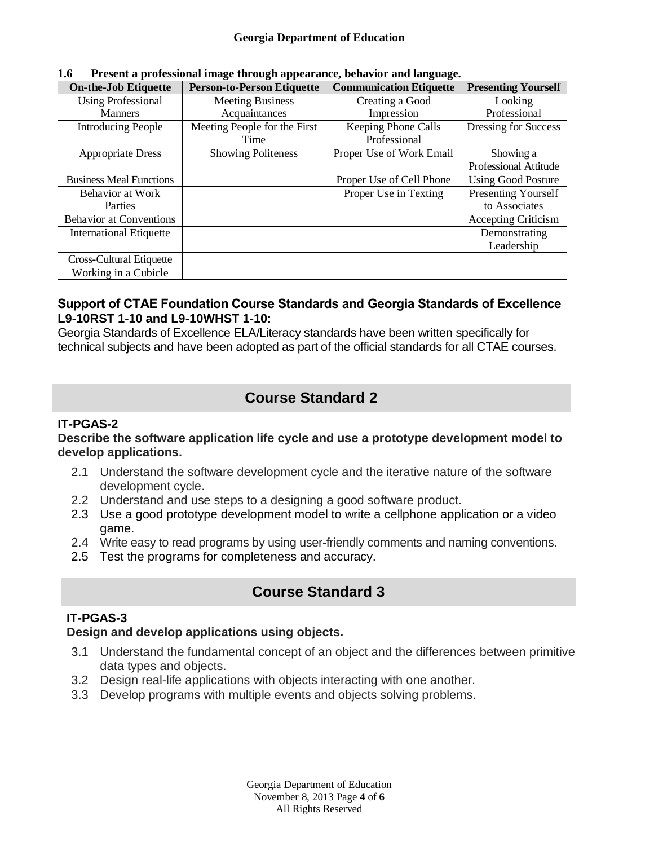| <b>On-the-Job Etiquette</b>    | <b>Person-to-Person Etiquette</b> | <b>Communication Etiquette</b> | <b>Presenting Yourself</b> |  |  |
|--------------------------------|-----------------------------------|--------------------------------|----------------------------|--|--|
| <b>Using Professional</b>      | <b>Meeting Business</b>           | Creating a Good                | Looking                    |  |  |
| <b>Manners</b>                 | Acquaintances                     | Impression                     | Professional               |  |  |
| <b>Introducing People</b>      | Meeting People for the First      | Keeping Phone Calls            | Dressing for Success       |  |  |
|                                | Time                              | Professional                   |                            |  |  |
| <b>Appropriate Dress</b>       | <b>Showing Politeness</b>         | Proper Use of Work Email       | Showing a                  |  |  |
|                                |                                   |                                | Professional Attitude      |  |  |
| <b>Business Meal Functions</b> |                                   | Proper Use of Cell Phone       | <b>Using Good Posture</b>  |  |  |
| Behavior at Work               |                                   | Proper Use in Texting          | Presenting Yourself        |  |  |
| Parties                        |                                   |                                | to Associates              |  |  |
| <b>Behavior at Conventions</b> |                                   |                                | <b>Accepting Criticism</b> |  |  |
| <b>International Etiquette</b> |                                   |                                | Demonstrating              |  |  |
|                                |                                   |                                | Leadership                 |  |  |
| Cross-Cultural Etiquette       |                                   |                                |                            |  |  |
| Working in a Cubicle           |                                   |                                |                            |  |  |

**1.6 Present a professional image through appearance, behavior and language.** 

### **Support of CTAE Foundation Course Standards and Georgia Standards of Excellence L9-10RST 1-10 and L9-10WHST 1-10:**

Georgia Standards of Excellence ELA/Literacy standards have been written specifically for technical subjects and have been adopted as part of the official standards for all CTAE courses.

# **Course Standard 2**

## **IT-PGAS-2**

### **Describe the software application life cycle and use a prototype development model to develop applications.**

- 2.1 Understand the software development cycle and the iterative nature of the software development cycle.
- 2.2 Understand and use steps to a designing a good software product.
- 2.3 Use a good prototype development model to write a cellphone application or a video game.
- 2.4 Write easy to read programs by using user-friendly comments and naming conventions.
- 2.5 Test the programs for completeness and accuracy.

# **Course Standard 3**

### **IT-PGAS-3**

### **Design and develop applications using objects.**

- 3.1 Understand the fundamental concept of an object and the differences between primitive data types and objects.
- 3.2 Design real-life applications with objects interacting with one another.
- 3.3 Develop programs with multiple events and objects solving problems.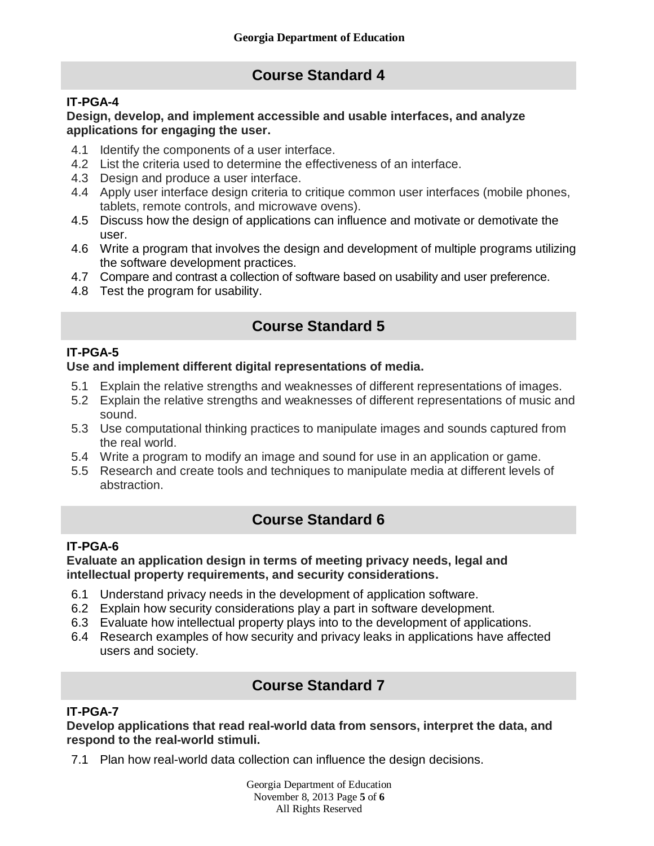# **Course Standard 4**

### **IT-PGA-4**

#### **Design, develop, and implement accessible and usable interfaces, and analyze applications for engaging the user.**

- 4.1 Identify the components of a user interface.
- 4.2 List the criteria used to determine the effectiveness of an interface.
- 4.3 Design and produce a user interface.
- 4.4 Apply user interface design criteria to critique common user interfaces (mobile phones, tablets, remote controls, and microwave ovens).
- 4.5 Discuss how the design of applications can influence and motivate or demotivate the user.
- 4.6 Write a program that involves the design and development of multiple programs utilizing the software development practices.
- 4.7 Compare and contrast a collection of software based on usability and user preference.
- 4.8 Test the program for usability.

# **Course Standard 5**

### **IT-PGA-5**

### **Use and implement different digital representations of media.**

- 5.1 Explain the relative strengths and weaknesses of different representations of images.
- 5.2 Explain the relative strengths and weaknesses of different representations of music and sound.
- 5.3 Use computational thinking practices to manipulate images and sounds captured from the real world.
- 5.4 Write a program to modify an image and sound for use in an application or game.
- 5.5 Research and create tools and techniques to manipulate media at different levels of abstraction.

# **Course Standard 6**

### **IT-PGA-6**

#### **Evaluate an application design in terms of meeting privacy needs, legal and intellectual property requirements, and security considerations.**

- 6.1 Understand privacy needs in the development of application software.
- 6.2 Explain how security considerations play a part in software development.
- 6.3 Evaluate how intellectual property plays into to the development of applications.
- 6.4 Research examples of how security and privacy leaks in applications have affected users and society.

# **Course Standard 7**

### **IT-PGA-7**

**Develop applications that read real-world data from sensors, interpret the data, and respond to the real-world stimuli.**

7.1 Plan how real-world data collection can influence the design decisions.